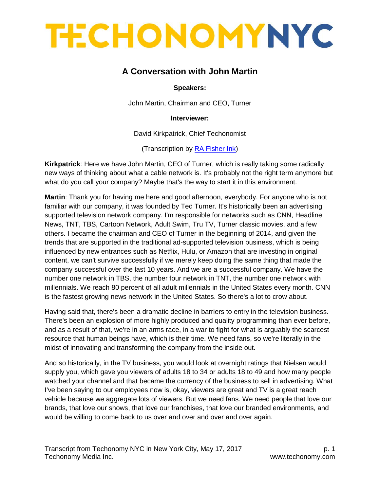### **A Conversation with John Martin**

#### **Speakers:**

John Martin, Chairman and CEO, Turner

**Interviewer:**

[David Kirkpatrick,](http://techonomy.com/participant/david-kirkpatrick/simple) Chief Techonomist

(Transcription by [RA Fisher Ink\)](http://www.rafisherink.com/)

**[Kirkpatrick](http://techonomy.com/participant/david-kirkpatrick/simple)**: Here we have John Martin, CEO of Turner, which is really taking some radically new ways of thinking about what a cable network is. It's probably not the right term anymore but what do you call your company? Maybe that's the way to start it in this environment.

**Martin**: Thank you for having me here and good afternoon, everybody. For anyone who is not familiar with our company, it was founded by Ted Turner. It's historically been an advertising supported television network company. I'm responsible for networks such as CNN, Headline News, TNT, TBS, Cartoon Network, Adult Swim, Tru TV, Turner classic movies, and a few others. I became the chairman and CEO of Turner in the beginning of 2014, and given the trends that are supported in the traditional ad-supported television business, which is being influenced by new entrances such as Netflix, Hulu, or Amazon that are investing in original content, we can't survive successfully if we merely keep doing the same thing that made the company successful over the last 10 years. And we are a successful company. We have the number one network in TBS, the number four network in TNT, the number one network with millennials. We reach 80 percent of all adult millennials in the United States every month. CNN is the fastest growing news network in the United States. So there's a lot to crow about.

Having said that, there's been a dramatic decline in barriers to entry in the television business. There's been an explosion of more highly produced and quality programming than ever before, and as a result of that, we're in an arms race, in a war to fight for what is arguably the scarcest resource that human beings have, which is their time. We need fans, so we're literally in the midst of innovating and transforming the company from the inside out.

And so historically, in the TV business, you would look at overnight ratings that Nielsen would supply you, which gave you viewers of adults 18 to 34 or adults 18 to 49 and how many people watched your channel and that became the currency of the business to sell in advertising. What I've been saying to our employees now is, okay, viewers are great and TV is a great reach vehicle because we aggregate lots of viewers. But we need fans. We need people that love our brands, that love our shows, that love our franchises, that love our branded environments, and would be willing to come back to us over and over and over and over again.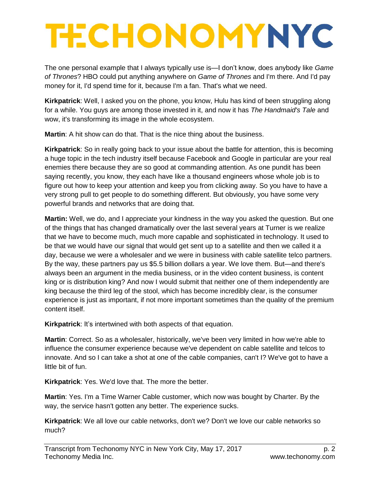The one personal example that I always typically use is—I don't know, does anybody like *Game of Thrones*? HBO could put anything anywhere on *Game of Thrones* and I'm there. And I'd pay money for it, I'd spend time for it, because I'm a fan. That's what we need.

**Kirkpatrick**: Well, I asked you on the phone, you know, Hulu has kind of been struggling along for a while. You guys are among those invested in it, and now it has *The Handmaid's Tale* and wow, it's transforming its image in the whole ecosystem.

**Martin**: A hit show can do that. That is the nice thing about the business.

**Kirkpatrick**: So in really going back to your issue about the battle for attention, this is becoming a huge topic in the tech industry itself because Facebook and Google in particular are your real enemies there because they are so good at commanding attention. As one pundit has been saying recently, you know, they each have like a thousand engineers whose whole job is to figure out how to keep your attention and keep you from clicking away. So you have to have a very strong pull to get people to do something different. But obviously, you have some very powerful brands and networks that are doing that.

**Martin:** Well, we do, and I appreciate your kindness in the way you asked the question. But one of the things that has changed dramatically over the last several years at Turner is we realize that we have to become much, much more capable and sophisticated in technology. It used to be that we would have our signal that would get sent up to a satellite and then we called it a day, because we were a wholesaler and we were in business with cable satellite telco partners. By the way, these partners pay us \$5.5 billion dollars a year. We love them. But—and there's always been an argument in the media business, or in the video content business, is content king or is distribution king? And now I would submit that neither one of them independently are king because the third leg of the stool, which has become incredibly clear, is the consumer experience is just as important, if not more important sometimes than the quality of the premium content itself.

**Kirkpatrick**: It's intertwined with both aspects of that equation.

**Martin**: Correct. So as a wholesaler, historically, we've been very limited in how we're able to influence the consumer experience because we've dependent on cable satellite and telcos to innovate. And so I can take a shot at one of the cable companies, can't I? We've got to have a little bit of fun.

**Kirkpatrick**: Yes. We'd love that. The more the better.

**Martin**: Yes. I'm a Time Warner Cable customer, which now was bought by Charter. By the way, the service hasn't gotten any better. The experience sucks.

**Kirkpatrick**: We all love our cable networks, don't we? Don't we love our cable networks so much?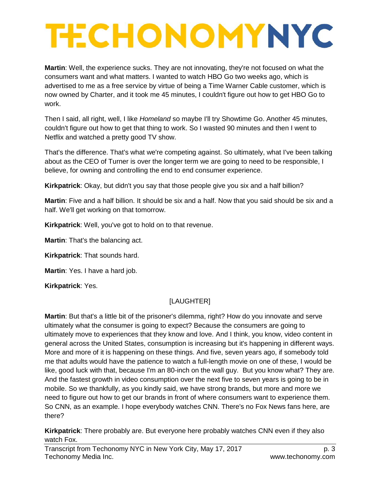**Martin**: Well, the experience sucks. They are not innovating, they're not focused on what the consumers want and what matters. I wanted to watch HBO Go two weeks ago, which is advertised to me as a free service by virtue of being a Time Warner Cable customer, which is now owned by Charter, and it took me 45 minutes, I couldn't figure out how to get HBO Go to work.

Then I said, all right, well, I like *Homeland* so maybe I'll try Showtime Go. Another 45 minutes, couldn't figure out how to get that thing to work. So I wasted 90 minutes and then I went to Netflix and watched a pretty good TV show.

That's the difference. That's what we're competing against. So ultimately, what I've been talking about as the CEO of Turner is over the longer term we are going to need to be responsible, I believe, for owning and controlling the end to end consumer experience.

**Kirkpatrick**: Okay, but didn't you say that those people give you six and a half billion?

**Martin**: Five and a half billion. It should be six and a half. Now that you said should be six and a half. We'll get working on that tomorrow.

**Kirkpatrick**: Well, you've got to hold on to that revenue.

**Martin**: That's the balancing act.

**Kirkpatrick**: That sounds hard.

**Martin**: Yes. I have a hard job.

**Kirkpatrick**: Yes.

#### [LAUGHTER]

**Martin**: But that's a little bit of the prisoner's dilemma, right? How do you innovate and serve ultimately what the consumer is going to expect? Because the consumers are going to ultimately move to experiences that they know and love. And I think, you know, video content in general across the United States, consumption is increasing but it's happening in different ways. More and more of it is happening on these things. And five, seven years ago, if somebody told me that adults would have the patience to watch a full-length movie on one of these, I would be like, good luck with that, because I'm an 80-inch on the wall guy. But you know what? They are. And the fastest growth in video consumption over the next five to seven years is going to be in mobile. So we thankfully, as you kindly said, we have strong brands, but more and more we need to figure out how to get our brands in front of where consumers want to experience them. So CNN, as an example. I hope everybody watches CNN. There's no Fox News fans here, are there?

**Kirkpatrick**: There probably are. But everyone here probably watches CNN even if they also watch Fox.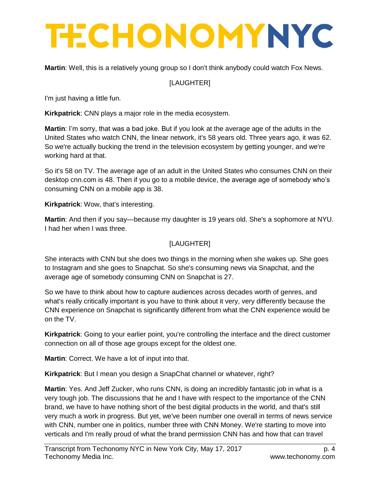**Martin**: Well, this is a relatively young group so I don't think anybody could watch Fox News.

#### [LAUGHTER]

I'm just having a little fun.

**Kirkpatrick**: CNN plays a major role in the media ecosystem.

**Martin**: I'm sorry, that was a bad joke. But if you look at the average age of the adults in the United States who watch CNN, the linear network, it's 58 years old. Three years ago, it was 62. So we're actually bucking the trend in the television ecosystem by getting younger, and we're working hard at that.

So it's 58 on TV. The average age of an adult in the United States who consumes CNN on their desktop cnn.com is 48. Then if you go to a mobile device, the average age of somebody who's consuming CNN on a mobile app is 38.

**Kirkpatrick**: Wow, that's interesting.

**Martin**: And then if you say—because my daughter is 19 years old. She's a sophomore at NYU. I had her when I was three.

#### [LAUGHTER]

She interacts with CNN but she does two things in the morning when she wakes up. She goes to Instagram and she goes to Snapchat. So she's consuming news via Snapchat, and the average age of somebody consuming CNN on Snapchat is 27.

So we have to think about how to capture audiences across decades worth of genres, and what's really critically important is you have to think about it very, very differently because the CNN experience on Snapchat is significantly different from what the CNN experience would be on the TV.

**Kirkpatrick**: Going to your earlier point, you're controlling the interface and the direct customer connection on all of those age groups except for the oldest one.

**Martin**: Correct. We have a lot of input into that.

**Kirkpatrick**: But I mean you design a SnapChat channel or whatever, right?

**Martin**: Yes. And Jeff Zucker, who runs CNN, is doing an incredibly fantastic job in what is a very tough job. The discussions that he and I have with respect to the importance of the CNN brand, we have to have nothing short of the best digital products in the world, and that's still very much a work in progress. But yet, we've been number one overall in terms of news service with CNN, number one in politics, number three with CNN Money. We're starting to move into verticals and I'm really proud of what the brand permission CNN has and how that can travel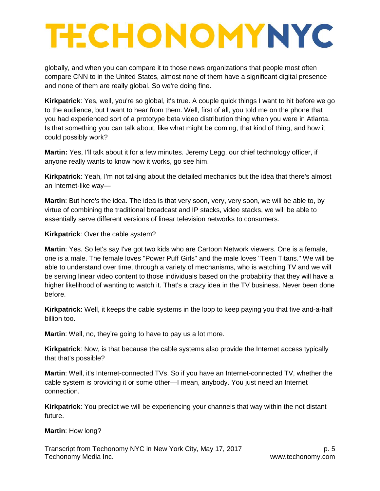globally, and when you can compare it to those news organizations that people most often compare CNN to in the United States, almost none of them have a significant digital presence and none of them are really global. So we're doing fine.

**Kirkpatrick**: Yes, well, you're so global, it's true. A couple quick things I want to hit before we go to the audience, but I want to hear from them. Well, first of all, you told me on the phone that you had experienced sort of a prototype beta video distribution thing when you were in Atlanta. Is that something you can talk about, like what might be coming, that kind of thing, and how it could possibly work?

**Martin:** Yes, I'll talk about it for a few minutes. Jeremy Legg, our chief technology officer, if anyone really wants to know how it works, go see him.

**Kirkpatrick**: Yeah, I'm not talking about the detailed mechanics but the idea that there's almost an Internet-like way—

**Martin**: But here's the idea. The idea is that very soon, very, very soon, we will be able to, by virtue of combining the traditional broadcast and IP stacks, video stacks, we will be able to essentially serve different versions of linear television networks to consumers.

**Kirkpatrick**: Over the cable system?

**Martin**: Yes. So let's say I've got two kids who are Cartoon Network viewers. One is a female, one is a male. The female loves "Power Puff Girls" and the male loves "Teen Titans." We will be able to understand over time, through a variety of mechanisms, who is watching TV and we will be serving linear video content to those individuals based on the probability that they will have a higher likelihood of wanting to watch it. That's a crazy idea in the TV business. Never been done before.

**Kirkpatrick:** Well, it keeps the cable systems in the loop to keep paying you that five and-a-half billion too.

**Martin**: Well, no, they're going to have to pay us a lot more.

**Kirkpatrick**: Now, is that because the cable systems also provide the Internet access typically that that's possible?

**Martin**: Well, it's Internet-connected TVs. So if you have an Internet-connected TV, whether the cable system is providing it or some other—I mean, anybody. You just need an Internet connection.

**Kirkpatrick**: You predict we will be experiencing your channels that way within the not distant future.

**Martin**: How long?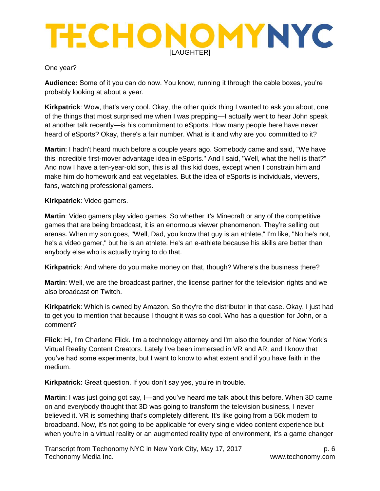#### One year?

**Audience:** Some of it you can do now. You know, running it through the cable boxes, you're probably looking at about a year.

**Kirkpatrick**: Wow, that's very cool. Okay, the other quick thing I wanted to ask you about, one of the things that most surprised me when I was prepping—I actually went to hear John speak at another talk recently—is his commitment to eSports. How many people here have never heard of eSports? Okay, there's a fair number. What is it and why are you committed to it?

**Martin**: I hadn't heard much before a couple years ago. Somebody came and said, "We have this incredible first-mover advantage idea in eSports." And I said, "Well, what the hell is that?" And now I have a ten-year-old son, this is all this kid does, except when I constrain him and make him do homework and eat vegetables. But the idea of eSports is individuals, viewers, fans, watching professional gamers.

**Kirkpatrick**: Video gamers.

**Martin**: Video gamers play video games. So whether it's Minecraft or any of the competitive games that are being broadcast, it is an enormous viewer phenomenon. They're selling out arenas. When my son goes, "Well, Dad, you know that guy is an athlete," I'm like, "No he's not, he's a video gamer," but he is an athlete. He's an e-athlete because his skills are better than anybody else who is actually trying to do that.

**Kirkpatrick**: And where do you make money on that, though? Where's the business there?

**Martin**: Well, we are the broadcast partner, the license partner for the television rights and we also broadcast on Twitch.

**Kirkpatrick**: Which is owned by Amazon. So they're the distributor in that case. Okay, I just had to get you to mention that because I thought it was so cool. Who has a question for John, or a comment?

**Flick**: Hi, I'm Charlene Flick. I'm a technology attorney and I'm also the founder of New York's Virtual Reality Content Creators. Lately I've been immersed in VR and AR, and I know that you've had some experiments, but I want to know to what extent and if you have faith in the medium.

**Kirkpatrick:** Great question. If you don't say yes, you're in trouble.

**Martin**: I was just going got say, I—and you've heard me talk about this before. When 3D came on and everybody thought that 3D was going to transform the television business, I never believed it. VR is something that's completely different. It's like going from a 56k modem to broadband. Now, it's not going to be applicable for every single video content experience but when you're in a virtual reality or an augmented reality type of environment, it's a game changer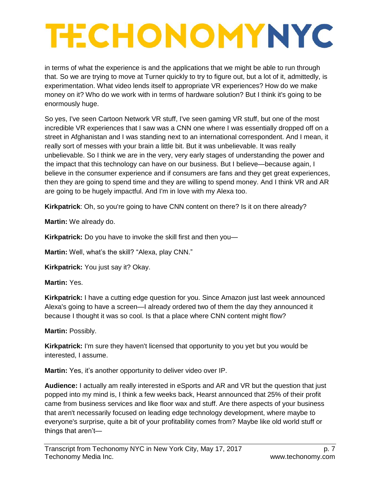in terms of what the experience is and the applications that we might be able to run through that. So we are trying to move at Turner quickly to try to figure out, but a lot of it, admittedly, is experimentation. What video lends itself to appropriate VR experiences? How do we make money on it? Who do we work with in terms of hardware solution? But I think it's going to be enormously huge.

So yes, I've seen Cartoon Network VR stuff, I've seen gaming VR stuff, but one of the most incredible VR experiences that I saw was a CNN one where I was essentially dropped off on a street in Afghanistan and I was standing next to an international correspondent. And I mean, it really sort of messes with your brain a little bit. But it was unbelievable. It was really unbelievable. So I think we are in the very, very early stages of understanding the power and the impact that this technology can have on our business. But I believe—because again, I believe in the consumer experience and if consumers are fans and they get great experiences, then they are going to spend time and they are willing to spend money. And I think VR and AR are going to be hugely impactful. And I'm in love with my Alexa too.

**Kirkpatrick**: Oh, so you're going to have CNN content on there? Is it on there already?

**Martin:** We already do.

**Kirkpatrick:** Do you have to invoke the skill first and then you—

**Martin:** Well, what's the skill? "Alexa, play CNN."

**Kirkpatrick:** You just say it? Okay.

**Martin:** Yes.

**Kirkpatrick:** I have a cutting edge question for you. Since Amazon just last week announced Alexa's going to have a screen—I already ordered two of them the day they announced it because I thought it was so cool. Is that a place where CNN content might flow?

**Martin:** Possibly.

**Kirkpatrick:** I'm sure they haven't licensed that opportunity to you yet but you would be interested, I assume.

**Martin:** Yes, it's another opportunity to deliver video over IP.

**Audience:** I actually am really interested in eSports and AR and VR but the question that just popped into my mind is, I think a few weeks back, Hearst announced that 25% of their profit came from business services and like floor wax and stuff. Are there aspects of your business that aren't necessarily focused on leading edge technology development, where maybe to everyone's surprise, quite a bit of your profitability comes from? Maybe like old world stuff or things that aren't—